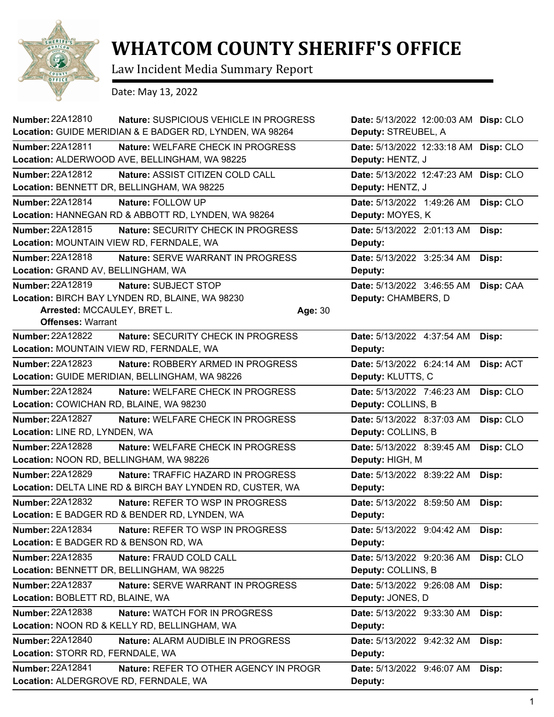

## **WHATCOM COUNTY SHERIFF'S OFFICE**

Law Incident Media Summary Report

Date: May 13, 2022

| Number: 22A12810                                        | Nature: SUSPICIOUS VEHICLE IN PROGRESS<br>Location: GUIDE MERIDIAN & E BADGER RD, LYNDEN, WA 98264 |         | Date: 5/13/2022 12:00:03 AM Disp: CLO<br>Deputy: STREUBEL, A |           |
|---------------------------------------------------------|----------------------------------------------------------------------------------------------------|---------|--------------------------------------------------------------|-----------|
| <b>Number: 22A12811</b>                                 | Nature: WELFARE CHECK IN PROGRESS                                                                  |         | Date: 5/13/2022 12:33:18 AM                                  | Disp: CLO |
|                                                         | Location: ALDERWOOD AVE, BELLINGHAM, WA 98225                                                      |         | Deputy: HENTZ, J                                             |           |
| Number: 22A12812                                        | Nature: ASSIST CITIZEN COLD CALL                                                                   |         | Date: 5/13/2022 12:47:23 AM                                  | Disp: CLO |
|                                                         | Location: BENNETT DR, BELLINGHAM, WA 98225                                                         |         | Deputy: HENTZ, J                                             |           |
| Number: 22A12814                                        | Nature: FOLLOW UP                                                                                  |         | Date: 5/13/2022 1:49:26 AM                                   | Disp: CLO |
|                                                         | Location: HANNEGAN RD & ABBOTT RD, LYNDEN, WA 98264                                                |         | Deputy: MOYES, K                                             |           |
| Number: 22A12815                                        | Nature: SECURITY CHECK IN PROGRESS                                                                 |         | Date: 5/13/2022 2:01:13 AM                                   | Disp:     |
| Location: MOUNTAIN VIEW RD, FERNDALE, WA                |                                                                                                    |         | Deputy:                                                      |           |
| Number: 22A12818                                        | Nature: SERVE WARRANT IN PROGRESS                                                                  |         | Date: 5/13/2022 3:25:34 AM                                   | Disp:     |
| Location: GRAND AV, BELLINGHAM, WA                      |                                                                                                    |         | Deputy:                                                      |           |
| <b>Number: 22A12819</b>                                 | Nature: SUBJECT STOP                                                                               |         | Date: 5/13/2022 3:46:55 AM                                   | Disp: CAA |
|                                                         | Location: BIRCH BAY LYNDEN RD, BLAINE, WA 98230                                                    |         | Deputy: CHAMBERS, D                                          |           |
| Arrested: MCCAULEY, BRET L.<br><b>Offenses: Warrant</b> |                                                                                                    | Age: 30 |                                                              |           |
| Number: 22A12822                                        | Nature: SECURITY CHECK IN PROGRESS                                                                 |         | Date: 5/13/2022 4:37:54 AM                                   | Disp:     |
| Location: MOUNTAIN VIEW RD, FERNDALE, WA                |                                                                                                    |         | Deputy:                                                      |           |
| <b>Number: 22A12823</b>                                 | Nature: ROBBERY ARMED IN PROGRESS                                                                  |         | Date: 5/13/2022 6:24:14 AM                                   | Disp: ACT |
|                                                         | Location: GUIDE MERIDIAN, BELLINGHAM, WA 98226                                                     |         | Deputy: KLUTTS, C                                            |           |
| <b>Number: 22A12824</b>                                 | Nature: WELFARE CHECK IN PROGRESS                                                                  |         | Date: 5/13/2022 7:46:23 AM                                   | Disp: CLO |
| Location: COWICHAN RD, BLAINE, WA 98230                 |                                                                                                    |         | Deputy: COLLINS, B                                           |           |
| <b>Number: 22A12827</b>                                 | Nature: WELFARE CHECK IN PROGRESS                                                                  |         | Date: 5/13/2022 8:37:03 AM                                   | Disp: CLO |
| Location: LINE RD, LYNDEN, WA                           |                                                                                                    |         | Deputy: COLLINS, B                                           |           |
| Number: 22A12828                                        | Nature: WELFARE CHECK IN PROGRESS                                                                  |         | Date: 5/13/2022 8:39:45 AM                                   | Disp: CLO |
| Location: NOON RD, BELLINGHAM, WA 98226                 |                                                                                                    |         | Deputy: HIGH, M                                              |           |
| <b>Number: 22A12829</b>                                 | Nature: TRAFFIC HAZARD IN PROGRESS                                                                 |         | Date: 5/13/2022 8:39:22 AM                                   | Disp:     |
|                                                         | Location: DELTA LINE RD & BIRCH BAY LYNDEN RD, CUSTER, WA                                          |         | Deputy:                                                      |           |
| Number: 22A12832                                        | Nature: REFER TO WSP IN PROGRESS                                                                   |         | Date: 5/13/2022 8:59:50 AM                                   | Disp:     |
|                                                         | Location: E BADGER RD & BENDER RD, LYNDEN, WA                                                      |         | Deputy:                                                      |           |
| Number: 22A12834                                        | Nature: REFER TO WSP IN PROGRESS                                                                   |         | Date: 5/13/2022 9:04:42 AM                                   | Disp:     |
| Location: E BADGER RD & BENSON RD, WA                   |                                                                                                    |         | Deputy:                                                      |           |
| Number: 22A12835                                        | Nature: FRAUD COLD CALL                                                                            |         | Date: 5/13/2022 9:20:36 AM                                   | Disp: CLO |
|                                                         | Location: BENNETT DR, BELLINGHAM, WA 98225                                                         |         | Deputy: COLLINS, B                                           |           |
| <b>Number: 22A12837</b>                                 | Nature: SERVE WARRANT IN PROGRESS                                                                  |         | Date: 5/13/2022 9:26:08 AM                                   | Disp:     |
| Location: BOBLETT RD, BLAINE, WA                        |                                                                                                    |         | Deputy: JONES, D                                             |           |
| Number: 22A12838                                        | <b>Nature: WATCH FOR IN PROGRESS</b>                                                               |         | Date: 5/13/2022 9:33:30 AM                                   | Disp:     |
|                                                         | Location: NOON RD & KELLY RD, BELLINGHAM, WA                                                       |         | Deputy:                                                      |           |
| Number: 22A12840                                        | Nature: ALARM AUDIBLE IN PROGRESS                                                                  |         | Date: 5/13/2022 9:42:32 AM                                   | Disp:     |
| Location: STORR RD, FERNDALE, WA                        |                                                                                                    |         | Deputy:                                                      |           |
| Number: 22A12841                                        | Nature: REFER TO OTHER AGENCY IN PROGR                                                             |         | Date: 5/13/2022 9:46:07 AM                                   | Disp:     |
| Location: ALDERGROVE RD, FERNDALE, WA                   |                                                                                                    |         | Deputy:                                                      |           |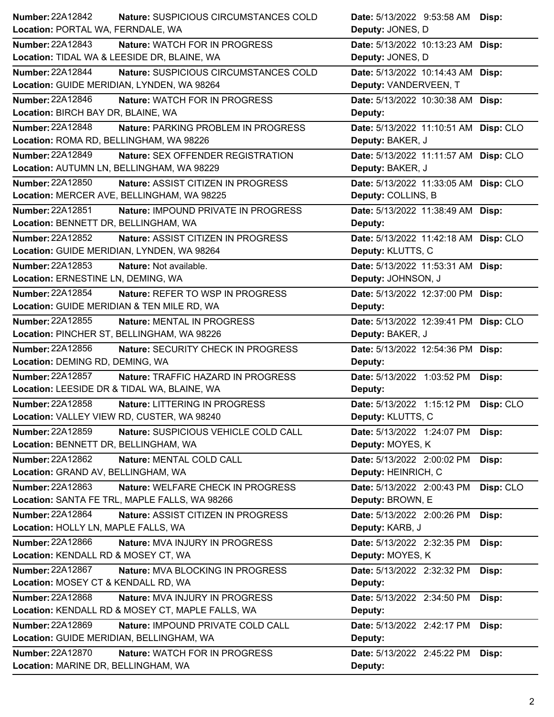| <b>Number: 22A12842</b>                  | Nature: SUSPICIOUS CIRCUMSTANCES COLD            | Date: 5/13/2022 9:53:58 AM Disp:        |
|------------------------------------------|--------------------------------------------------|-----------------------------------------|
| Location: PORTAL WA, FERNDALE, WA        |                                                  | Deputy: JONES, D                        |
| <b>Number: 22A12843</b>                  | Nature: WATCH FOR IN PROGRESS                    | Date: 5/13/2022 10:13:23 AM Disp:       |
|                                          | Location: TIDAL WA & LEESIDE DR, BLAINE, WA      | Deputy: JONES, D                        |
| <b>Number: 22A12844</b>                  | Nature: SUSPICIOUS CIRCUMSTANCES COLD            | Date: 5/13/2022 10:14:43 AM Disp:       |
|                                          | Location: GUIDE MERIDIAN, LYNDEN, WA 98264       | Deputy: VANDERVEEN, T                   |
| Number: 22A12846                         | Nature: WATCH FOR IN PROGRESS                    | Date: 5/13/2022 10:30:38 AM Disp:       |
| Location: BIRCH BAY DR, BLAINE, WA       |                                                  | Deputy:                                 |
| <b>Number: 22A12848</b>                  | Nature: PARKING PROBLEM IN PROGRESS              | Date: 5/13/2022 11:10:51 AM Disp: CLO   |
| Location: ROMA RD, BELLINGHAM, WA 98226  |                                                  | Deputy: BAKER, J                        |
| Number: 22A12849                         | Nature: SEX OFFENDER REGISTRATION                | Date: 5/13/2022 11:11:57 AM Disp: CLO   |
|                                          | Location: AUTUMN LN, BELLINGHAM, WA 98229        | Deputy: BAKER, J                        |
| Number: 22A12850                         | Nature: ASSIST CITIZEN IN PROGRESS               | Date: 5/13/2022 11:33:05 AM Disp: CLO   |
|                                          | Location: MERCER AVE, BELLINGHAM, WA 98225       | Deputy: COLLINS, B                      |
| Number: 22A12851                         | Nature: IMPOUND PRIVATE IN PROGRESS              | Date: 5/13/2022 11:38:49 AM Disp:       |
| Location: BENNETT DR, BELLINGHAM, WA     |                                                  | Deputy:                                 |
| Number: 22A12852                         | Nature: ASSIST CITIZEN IN PROGRESS               | Date: 5/13/2022 11:42:18 AM Disp: CLO   |
|                                          | Location: GUIDE MERIDIAN, LYNDEN, WA 98264       | Deputy: KLUTTS, C                       |
| Number: 22A12853                         | Nature: Not available.                           | Date: 5/13/2022 11:53:31 AM Disp:       |
| Location: ERNESTINE LN, DEMING, WA       |                                                  | Deputy: JOHNSON, J                      |
| Number: 22A12854                         | Nature: REFER TO WSP IN PROGRESS                 | Date: 5/13/2022 12:37:00 PM Disp:       |
|                                          | Location: GUIDE MERIDIAN & TEN MILE RD, WA       | Deputy:                                 |
| Number: 22A12855                         | Nature: MENTAL IN PROGRESS                       | Date: 5/13/2022 12:39:41 PM Disp: CLO   |
|                                          | Location: PINCHER ST, BELLINGHAM, WA 98226       | Deputy: BAKER, J                        |
| <b>Number: 22A12856</b>                  | Nature: SECURITY CHECK IN PROGRESS               | Date: 5/13/2022 12:54:36 PM Disp:       |
| Location: DEMING RD, DEMING, WA          |                                                  | Deputy:                                 |
| <b>Number: 22A12857</b>                  | Nature: TRAFFIC HAZARD IN PROGRESS               | Date: 5/13/2022 1:03:52 PM<br>Disp:     |
|                                          | Location: LEESIDE DR & TIDAL WA, BLAINE, WA      | Deputy:                                 |
| Number: 22A12858                         | Nature: LITTERING IN PROGRESS                    | Date: 5/13/2022 1:15:12 PM Disp: CLO    |
|                                          | Location: VALLEY VIEW RD, CUSTER, WA 98240       | Deputy: KLUTTS, C                       |
| Number: 22A12859                         | Nature: SUSPICIOUS VEHICLE COLD CALL             | Date: 5/13/2022 1:24:07 PM Disp:        |
| Location: BENNETT DR, BELLINGHAM, WA     |                                                  | Deputy: MOYES, K                        |
| Number: 22A12862                         | Nature: MENTAL COLD CALL                         | Date: 5/13/2022 2:00:02 PM<br>Disp:     |
| Location: GRAND AV, BELLINGHAM, WA       |                                                  | Deputy: HEINRICH, C                     |
| Number: 22A12863                         | Nature: WELFARE CHECK IN PROGRESS                | Date: 5/13/2022 2:00:43 PM<br>Disp: CLO |
|                                          | Location: SANTA FE TRL, MAPLE FALLS, WA 98266    | Deputy: BROWN, E                        |
| Number: 22A12864                         | Nature: ASSIST CITIZEN IN PROGRESS               | Date: 5/13/2022 2:00:26 PM<br>Disp:     |
| Location: HOLLY LN, MAPLE FALLS, WA      |                                                  | Deputy: KARB, J                         |
| Number: 22A12866                         | Nature: MVA INJURY IN PROGRESS                   | Date: 5/13/2022 2:32:35 PM<br>Disp:     |
| Location: KENDALL RD & MOSEY CT, WA      |                                                  | Deputy: MOYES, K                        |
| Number: 22A12867                         | Nature: MVA BLOCKING IN PROGRESS                 | Date: 5/13/2022 2:32:32 PM<br>Disp:     |
| Location: MOSEY CT & KENDALL RD, WA      |                                                  | Deputy:                                 |
| <b>Number: 22A12868</b>                  | Nature: MVA INJURY IN PROGRESS                   | Date: 5/13/2022 2:34:50 PM<br>Disp:     |
|                                          | Location: KENDALL RD & MOSEY CT, MAPLE FALLS, WA | Deputy:                                 |
| <b>Number: 22A12869</b>                  | <b>Nature: IMPOUND PRIVATE COLD CALL</b>         | Date: 5/13/2022 2:42:17 PM<br>Disp:     |
| Location: GUIDE MERIDIAN, BELLINGHAM, WA |                                                  | Deputy:                                 |
| <b>Number: 22A12870</b>                  | Nature: WATCH FOR IN PROGRESS                    | Date: 5/13/2022 2:45:22 PM<br>Disp:     |
|                                          |                                                  | Deputy:                                 |
| Location: MARINE DR, BELLINGHAM, WA      |                                                  |                                         |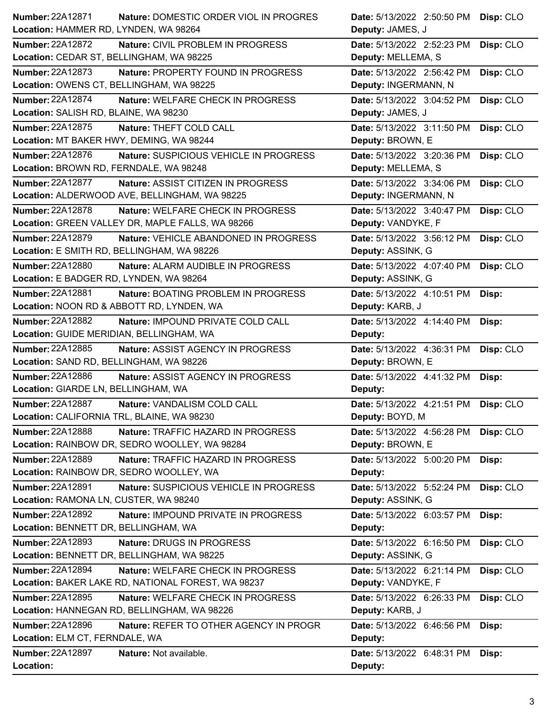| <b>Number: 22A12871</b>                    | Nature: DOMESTIC ORDER VIOL IN PROGRES             | Date: 5/13/2022 2:50:50 PM            | Disp: CLO |
|--------------------------------------------|----------------------------------------------------|---------------------------------------|-----------|
| Location: HAMMER RD, LYNDEN, WA 98264      |                                                    | Deputy: JAMES, J                      |           |
| <b>Number: 22A12872</b>                    | Nature: CIVIL PROBLEM IN PROGRESS                  | Date: 5/13/2022 2:52:23 PM            | Disp: CLO |
| Location: CEDAR ST, BELLINGHAM, WA 98225   |                                                    | Deputy: MELLEMA, S                    |           |
| Number: 22A12873                           | Nature: PROPERTY FOUND IN PROGRESS                 | Date: 5/13/2022 2:56:42 PM            | Disp: CLO |
| Location: OWENS CT, BELLINGHAM, WA 98225   |                                                    | Deputy: INGERMANN, N                  |           |
| <b>Number: 22A12874</b>                    | Nature: WELFARE CHECK IN PROGRESS                  | Date: 5/13/2022 3:04:52 PM            | Disp: CLO |
| Location: SALISH RD, BLAINE, WA 98230      |                                                    | Deputy: JAMES, J                      |           |
| Number: 22A12875                           | Nature: THEFT COLD CALL                            | Date: 5/13/2022 3:11:50 PM            | Disp: CLO |
| Location: MT BAKER HWY, DEMING, WA 98244   |                                                    | Deputy: BROWN, E                      |           |
| Number: 22A12876                           | Nature: SUSPICIOUS VEHICLE IN PROGRESS             | Date: 5/13/2022 3:20:36 PM            | Disp: CLO |
| Location: BROWN RD, FERNDALE, WA 98248     |                                                    | Deputy: MELLEMA, S                    |           |
| Number: 22A12877                           | Nature: ASSIST CITIZEN IN PROGRESS                 | Date: 5/13/2022 3:34:06 PM            | Disp: CLO |
|                                            | Location: ALDERWOOD AVE, BELLINGHAM, WA 98225      | Deputy: INGERMANN, N                  |           |
| Number: 22A12878                           | Nature: WELFARE CHECK IN PROGRESS                  | Date: 5/13/2022 3:40:47 PM            | Disp: CLO |
|                                            | Location: GREEN VALLEY DR, MAPLE FALLS, WA 98266   | Deputy: VANDYKE, F                    |           |
| <b>Number: 22A12879</b>                    | Nature: VEHICLE ABANDONED IN PROGRESS              | Date: 5/13/2022 3:56:12 PM            | Disp: CLO |
|                                            | Location: E SMITH RD, BELLINGHAM, WA 98226         | Deputy: ASSINK, G                     |           |
| Number: 22A12880                           | Nature: ALARM AUDIBLE IN PROGRESS                  | Date: 5/13/2022 4:07:40 PM            | Disp: CLO |
| Location: E BADGER RD, LYNDEN, WA 98264    |                                                    | Deputy: ASSINK, G                     |           |
| <b>Number: 22A12881</b>                    | Nature: BOATING PROBLEM IN PROGRESS                | Date: 5/13/2022 4:10:51 PM            | Disp:     |
|                                            | Location: NOON RD & ABBOTT RD, LYNDEN, WA          | Deputy: KARB, J                       |           |
| Number: 22A12882                           | Nature: IMPOUND PRIVATE COLD CALL                  | Date: 5/13/2022 4:14:40 PM            | Disp:     |
| Location: GUIDE MERIDIAN, BELLINGHAM, WA   |                                                    | Deputy:                               |           |
| <b>Number: 22A12885</b>                    | Nature: ASSIST AGENCY IN PROGRESS                  | Date: 5/13/2022 4:36:31 PM            | Disp: CLO |
|                                            |                                                    |                                       |           |
| Location: SAND RD, BELLINGHAM, WA 98226    |                                                    | Deputy: BROWN, E                      |           |
| Number: 22A12886                           | Nature: ASSIST AGENCY IN PROGRESS                  | Date: 5/13/2022 4:41:32 PM            | Disp:     |
| Location: GIARDE LN, BELLINGHAM, WA        |                                                    | Deputy:                               |           |
| Number: 22A12887                           | Nature: VANDALISM COLD CALL                        | Date: 5/13/2022 4:21:51 PM            |           |
| Location: CALIFORNIA TRL, BLAINE, WA 98230 |                                                    | Deputy: BOYD, M                       | Disp: CLO |
| <b>Number: 22A12888</b>                    | Nature: TRAFFIC HAZARD IN PROGRESS                 | Date: 5/13/2022 4:56:28 PM            |           |
|                                            | Location: RAINBOW DR, SEDRO WOOLLEY, WA 98284      | Deputy: BROWN, E                      | Disp: CLO |
| <b>Number: 22A12889</b>                    | Nature: TRAFFIC HAZARD IN PROGRESS                 |                                       |           |
|                                            | Location: RAINBOW DR, SEDRO WOOLLEY, WA            | Date: 5/13/2022 5:00:20 PM<br>Deputy: | Disp:     |
| Number: 22A12891                           | Nature: SUSPICIOUS VEHICLE IN PROGRESS             | Date: 5/13/2022 5:52:24 PM            | Disp: CLO |
| Location: RAMONA LN, CUSTER, WA 98240      |                                                    | Deputy: ASSINK, G                     |           |
| Number: 22A12892                           | Nature: IMPOUND PRIVATE IN PROGRESS                | Date: 5/13/2022 6:03:57 PM            |           |
| Location: BENNETT DR, BELLINGHAM, WA       |                                                    | Deputy:                               | Disp:     |
| Number: 22A12893                           | Nature: DRUGS IN PROGRESS                          | Date: 5/13/2022 6:16:50 PM            |           |
|                                            | Location: BENNETT DR, BELLINGHAM, WA 98225         | Deputy: ASSINK, G                     | Disp: CLO |
| <b>Number: 22A12894</b>                    | Nature: WELFARE CHECK IN PROGRESS                  | Date: 5/13/2022 6:21:14 PM            | Disp: CLO |
|                                            | Location: BAKER LAKE RD, NATIONAL FOREST, WA 98237 | Deputy: VANDYKE, F                    |           |
| Number: 22A12895                           | Nature: WELFARE CHECK IN PROGRESS                  | Date: 5/13/2022 6:26:33 PM            |           |
|                                            | Location: HANNEGAN RD, BELLINGHAM, WA 98226        | Deputy: KARB, J                       | Disp: CLO |
| Number: 22A12896                           | Nature: REFER TO OTHER AGENCY IN PROGR             | Date: 5/13/2022 6:46:56 PM            |           |
| Location: ELM CT, FERNDALE, WA             |                                                    | Deputy:                               | Disp:     |
| <b>Number: 22A12897</b>                    | Nature: Not available.                             | Date: 5/13/2022 6:48:31 PM            | Disp:     |
| Location:                                  |                                                    | Deputy:                               |           |